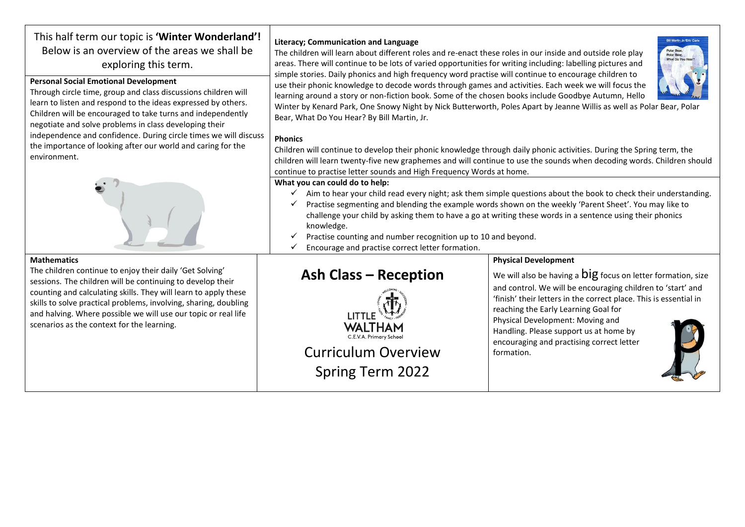## This half term our topic is **'Winter Wonderland'! Literacy; Communication and Language** Below is an overview of the areas we shall be The children will learn about different roles and re-enact these roles in our inside and outside role play areas. There will continue to be lots of varied opportunities for writing including: labelling pictures and exploring this term. simple stories. Daily phonics and high frequency word practise will continue to encourage children to **Personal Social Emotional Development** use their phonic knowledge to decode words through games and activities. Each week we will focus the Through circle time, group and class discussions children will learning around a story or non-fiction book. Some of the chosen books include Goodbye Autumn, Hello learn to listen and respond to the ideas expressed by others. Winter by Kenard Park, One Snowy Night by Nick Butterworth, Poles Apart by Jeanne Willis as well as Polar Bear, Polar Children will be encouraged to take turns and independently Bear, What Do You Hear? By Bill Martin, Jr. negotiate and solve problems in class developing their independence and confidence. During circle times we will discuss **Phonics** the importance of looking after our world and caring for the Children will continue to develop their phonic knowledge through daily phonic activities. During the Spring term, the environment. children will learn twenty-five new graphemes and will continue to use the sounds when decoding words. Children should continue to practise letter sounds and High Frequency Words at home. **What you can could do to help:**  $\checkmark$  Aim to hear your child read every night; ask them simple questions about the book to check their understanding.  $\checkmark$  Practise segmenting and blending the example words shown on the weekly 'Parent Sheet'. You may like to challenge your child by asking them to have a go at writing these words in a sentence using their phonics knowledge.  $\checkmark$  Practise counting and number recognition up to 10 and beyond.  $\checkmark$  Encourage and practise correct letter formation. **Mathematics Physical Development** The children continue to enjoy their daily 'Get Solving' **Ash Class – Reception** We will also be having a  $big$  focus on letter formation, size sessions. The children will be continuing to develop their and control. We will be encouraging children to 'start' and counting and calculating skills. They will learn to apply these 'finish' their letters in the correct place. This is essential in skills to solve practical problems, involving, sharing, doubling reaching the Early Learning Goal for and halving. Where possible we will use our topic or real life LITTLE Physical Development: Moving and scenarios as the context for the learning. **WALTHAM** Handling. Please support us at home by encouraging and practising correct letter Curriculum Overview formation.Spring Term 2022